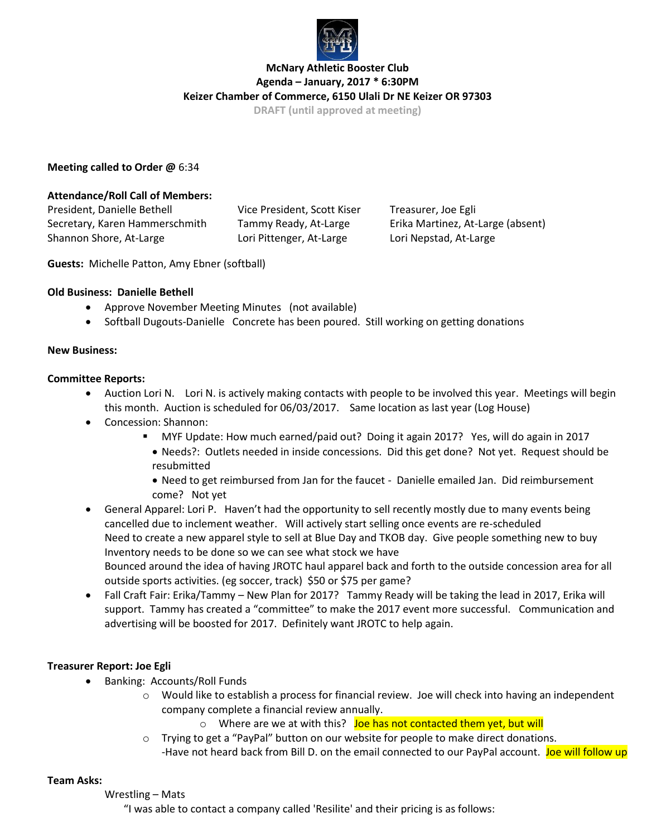

# **McNary Athletic Booster Club Agenda – January, 2017 \* 6:30PM Keizer Chamber of Commerce, 6150 Ulali Dr NE Keizer OR 97303**

**DRAFT (until approved at meeting)**

### **Meeting called to Order @** 6:34

#### **Attendance/Roll Call of Members:**

President, Danielle Bethell Vice President, Scott Kiser Treasurer, Joe Egli Secretary, Karen Hammerschmith Tammy Ready, At-Large Erika Martinez, At-Large (absent) Shannon Shore, At-Large Lori Pittenger, At-Large Lori Nepstad, At-Large

**Guests:** Michelle Patton, Amy Ebner (softball)

#### **Old Business: Danielle Bethell**

- Approve November Meeting Minutes (not available)
- Softball Dugouts-Danielle Concrete has been poured. Still working on getting donations

#### **New Business:**

#### **Committee Reports:**

- Auction Lori N. Lori N. is actively making contacts with people to be involved this year. Meetings will begin this month. Auction is scheduled for 06/03/2017. Same location as last year (Log House)
- Concession: Shannon:
	- MYF Update: How much earned/paid out? Doing it again 2017? Yes, will do again in 2017 • Needs?: Outlets needed in inside concessions. Did this get done? Not yet. Request should be resubmitted
	- Need to get reimbursed from Jan for the faucet Danielle emailed Jan. Did reimbursement come? Not yet
- General Apparel: Lori P. Haven't had the opportunity to sell recently mostly due to many events being cancelled due to inclement weather. Will actively start selling once events are re-scheduled Need to create a new apparel style to sell at Blue Day and TKOB day. Give people something new to buy Inventory needs to be done so we can see what stock we have Bounced around the idea of having JROTC haul apparel back and forth to the outside concession area for all outside sports activities. (eg soccer, track) \$50 or \$75 per game?
- Fall Craft Fair: Erika/Tammy New Plan for 2017? Tammy Ready will be taking the lead in 2017, Erika will support. Tammy has created a "committee" to make the 2017 event more successful. Communication and advertising will be boosted for 2017. Definitely want JROTC to help again.

## **Treasurer Report: Joe Egli**

- Banking: Accounts/Roll Funds
	- o Would like to establish a process for financial review. Joe will check into having an independent company complete a financial review annually.
		- o Where are we at with this? Joe has not contacted them yet, but will
	- o Trying to get a "PayPal" button on our website for people to make direct donations. -Have not heard back from Bill D. on the email connected to our PayPal account. Joe will follow up

#### **Team Asks:**

#### Wrestling – Mats

"I was able to contact a company called 'Resilite' and their pricing is as follows: